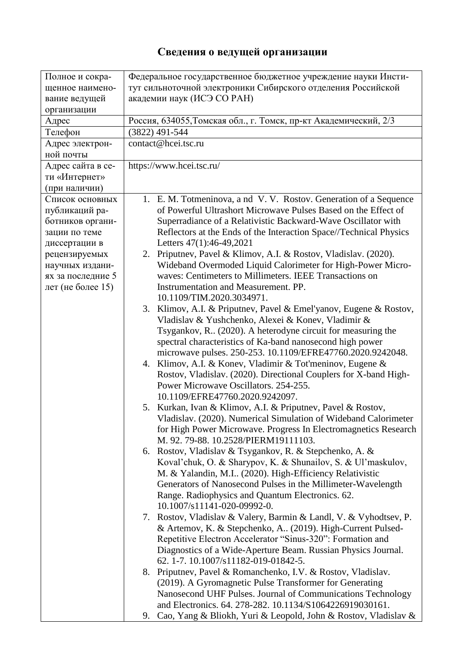## **Сведения о ведущей организации**

| Полное и сокра-<br>щенное наимено-<br>вание ведущей<br>организации                      | Федеральное государственное бюджетное учреждение науки Инсти-<br>тут сильноточной электроники Сибирского отделения Российской<br>академии наук (ИСЭ СО РАН)                                                                                                                                                                           |
|-----------------------------------------------------------------------------------------|---------------------------------------------------------------------------------------------------------------------------------------------------------------------------------------------------------------------------------------------------------------------------------------------------------------------------------------|
| Адрес                                                                                   | Россия, 634055, Томская обл., г. Томск, пр-кт Академический, 2/3                                                                                                                                                                                                                                                                      |
| Телефон                                                                                 | (3822) 491-544                                                                                                                                                                                                                                                                                                                        |
| Адрес электрон-<br>ной почты                                                            | contact@hcei.tsc.ru                                                                                                                                                                                                                                                                                                                   |
| Адрес сайта в се-<br>ти «Интернет»<br>(при наличии)                                     | https://www.hcei.tsc.ru/                                                                                                                                                                                                                                                                                                              |
| Список основных<br>публикаций ра-<br>ботников органи-<br>зации по теме<br>диссертации в | 1. E. M. Totmeninova, a nd V. V. Rostov. Generation of a Sequence<br>of Powerful Ultrashort Microwave Pulses Based on the Effect of<br>Superradiance of a Relativistic Backward-Wave Oscillator with<br>Reflectors at the Ends of the Interaction Space//Technical Physics<br>Letters 47(1):46-49,2021                                |
| рецензируемых<br>научных издани-<br>ях за последние 5<br>лет (не более 15)              | 2. Priputnev, Pavel & Klimov, A.I. & Rostov, Vladislav. (2020).<br>Wideband Overmoded Liquid Calorimeter for High-Power Micro-<br>waves: Centimeters to Millimeters. IEEE Transactions on<br>Instrumentation and Measurement. PP.<br>10.1109/TIM.2020.3034971.                                                                        |
|                                                                                         | 3. Klimov, A.I. & Priputnev, Pavel & Emel'yanov, Eugene & Rostov,<br>Vladislav & Yushchenko, Alexei & Konev, Vladimir &<br>Tsygankov, R (2020). A heterodyne circuit for measuring the<br>spectral characteristics of Ka-band nanosecond high power<br>microwave pulses. 250-253. 10.1109/EFRE47760.2020.9242048.                     |
|                                                                                         | 4. Klimov, A.I. & Konev, Vladimir & Tot'meninov, Eugene &<br>Rostov, Vladislav. (2020). Directional Couplers for X-band High-<br>Power Microwave Oscillators. 254-255.<br>10.1109/EFRE47760.2020.9242097.                                                                                                                             |
|                                                                                         | Kurkan, Ivan & Klimov, A.I. & Priputnev, Pavel & Rostov,<br>5.<br>Vladislav. (2020). Numerical Simulation of Wideband Calorimeter<br>for High Power Microwave. Progress In Electromagnetics Research<br>M. 92. 79-88. 10.2528/PIERM19111103.                                                                                          |
|                                                                                         | 6. Rostov, Vladislav & Tsygankov, R. & Stepchenko, A. &<br>Koval'chuk, O. & Sharypov, K. & Shunailov, S. & Ul'maskulov,<br>M. & Yalandin, M.I (2020). High-Efficiency Relativistic<br>Generators of Nanosecond Pulses in the Millimeter-Wavelength<br>Range. Radiophysics and Quantum Electronics. 62.<br>10.1007/s11141-020-09992-0. |
|                                                                                         | 7. Rostov, Vladislav & Valery, Barmin & Landl, V. & Vyhodtsev, P.<br>& Artemov, K. & Stepchenko, A., (2019). High-Current Pulsed-<br>Repetitive Electron Accelerator "Sinus-320": Formation and<br>Diagnostics of a Wide-Aperture Beam. Russian Physics Journal.<br>62. 1-7. 10.1007/s11182-019-01842-5.                              |
|                                                                                         | 8. Priputnev, Pavel & Romanchenko, I.V. & Rostov, Vladislav.<br>(2019). A Gyromagnetic Pulse Transformer for Generating<br>Nanosecond UHF Pulses. Journal of Communications Technology<br>and Electronics. 64. 278-282. 10.1134/S1064226919030161.<br>Cao, Yang & Bliokh, Yuri & Leopold, John & Rostov, Vladislav &<br>9.            |